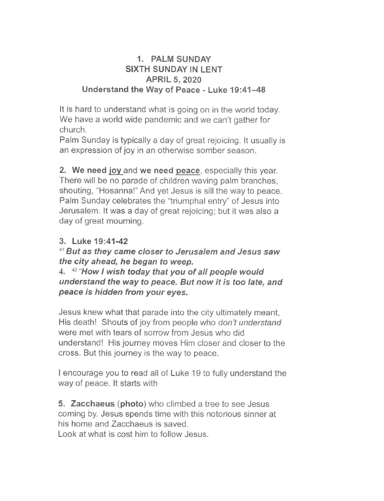# **1. PALM SUNDAY SIXTH SUNDAY IN LENT APRIL 5, 2020 Understand the Way of Peace - Luke 19:41-48**

It is hard to understand what is going on in the world today. We have a world wide pandemic and we can't gather for church.

Palm Sunday is typically a day of great rejoicing. It usually is an expression of joy in an otherwise somber season.

**2. We need joy** and **we need peace,** especially this year. There will be no parade of children waving palm branches, shouting, "Hosanna!" And yet Jesus is sill the way to peace. Palm Sunday celebrates the "triumphal entry" of Jesus into Jerusalem. It was a day of great rejoicing; but it was also a day of great mourning.

# **3. Luke 19:41-42**

**'"But as they came closer to Jerusalem and Jesus saw the city ahead, he began to weep.** 

4. 42 **"How I wish today that you of all people would understand the way to peace. But now it is too late, and peace is hidden from your eyes.** 

Jesus knew what that parade into the city ultimately meant, His death! Shouts of joy from people who don't understand were met with tears of sorrow from Jesus who did understand! His journey moves Him closer and closer to the cross. But this journey is the way to peace.

I encourage you to read all of Luke 19 to fully understand the way of peace. It starts with

**5. Zacchaeus (photo)** who climbed a tree to see Jesus coming by. Jesus spends time with this notorious sinner at his home and Zacchaeus is saved.

Look at what is cost him to follow Jesus.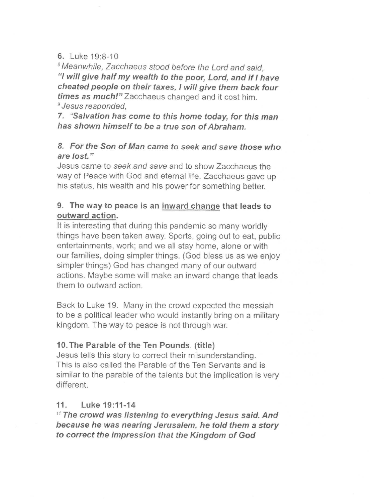#### 6. Luke 19:8-10

Meanwhile, Zacchaeus stood before the Lord and said, "I **will give half my wealth to the poor, Lord, and if have cheated people on their taxes, I will give them back four times as much!" Zacchaeus** changed and it cost him. 'Jesus responded,

**7. "Salvation has come to this home today, for this man has shown himself to be a true son of Abraham.** 

### **8. For the Son of Man came to seek and save those who are lost."**

Jesus came to seek and save and to show Zacchaeus the way of Peace with God and eternal life. Zacchaeus gave up his status, his wealth and his power for something better.

# **9. The way to peace is an inward change that leads to outward action.**

It is interesting that during this pandemic so many worldly things have been taken away. Sports, going out to eat, public entertainments, work; and we all stay home, alone or with our families, doing simpler things. (God bless us as we enjoy simpler things) God has changed many of our outward actions. Maybe some will make an inward change that leads them to outward action.

Back to Luke 19. Many in the crowd expected the messiah to be a political leader who would instantly bring on a military kingdom. The way to peace is not through war.

# **10.The Parable of the Ten Pounds. (title)**

Jesus tells this story to correct their misunderstanding. This is also called the Parable of the Ten Servants and is similar to the parable of the talents but the implication is very different.

### **11. Luke 19:11-14**

**" The crowd was listening to everything Jesus said. And because he was nearing Jerusalem, he told them a story to correct the impression that the Kingdom of God**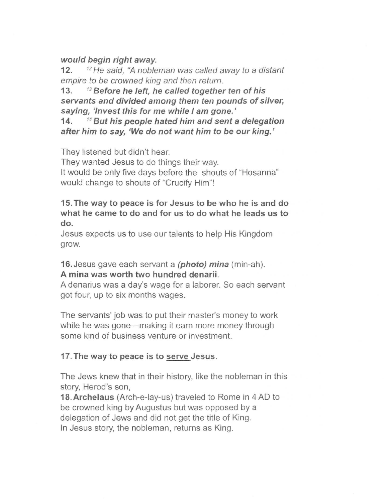## **would begin right away.**

12.  $12$  He said, "A nobleman was called away to a distant empire to be crowned king and then return.

13. 13 **Before he left, he called together ten of his servants and divided among them ten pounds of silver, saying, 'Invest this for me while I am gone.'** 

**14. "But his people hated him and sent a delegation after him to say, 'We do not want him to be our king.'** 

They listened but didn't hear.

They wanted Jesus to do things their way.

It would be only five days before the shouts of "Hosanna" would change to shouts of "Crucify Him"!

**15. The way to peace is for Jesus to be who he is and do what he came to do and for us to do what he leads us to do.** 

Jesus expects us to use our talents to help His Kingdom grow.

## 16. Jesus gave each servant a **(photo) mina** (min-ah). **A mina was worth two hundred denarii.**

A denarius was a day's wage for a laborer. So each servant got four, up to six months wages.

The servants' job was to put their master's money to work while he was gone—making it earn more money through some kind of business venture or investment.

### **17. The way to peace is to serve Jesus.**

The Jews knew that in their history, like the nobleman in this story, Herod's son,

**18.Archelaus** (Arch-e-lay-us) traveled to Rome in 4 AD to be crowned king by Augustus but was opposed by a delegation of Jews and did not get the title of King. In Jesus story, the nobleman, returns as King.